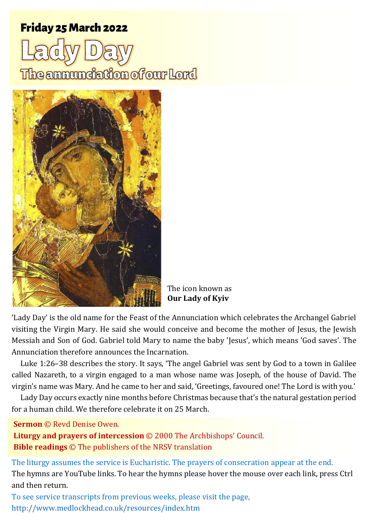# Friday 25 March Friday 25 March 202202<sup>2</sup> 2 <sup>1</sup> **Lady Day**

The annunciation of our Lord



The icon known as **Our Lady of Kyiv**

'Lady Day' is the old name for the Feast of the Annunciation which celebrates the Archangel Gabriel visiting the Virgin Mary. He said she would conceive and become the mother of Jesus, the Jewish Messiah and Son of God. Gabriel told Mary to name the baby 'Jesus', which means 'God saves'. The Annunciation therefore announces the Incarnation.

Luke 1:26–38 describes the story. It says, 'The angel Gabriel was sent by God to a town in Galilee called Nazareth, to a virgin engaged to a man whose name was Joseph, of the house of David. The virgin's name was Mary. And he came to her and said, 'Greetings, favoured one! The Lord is with you.'

Lady Day occurs exactly nine months before Christmas because that's the natural gestation period for a human child. We therefore celebrate it on 25 March.

**Sermon** © Revd Denise Owen.

**Liturgy and prayers of intercession** © 2000 The Archbishops' Council. **Bible readings** © The publishers of the NRSV translation

The liturgy assumes the service is Eucharistic. The prayers of consecration appear at the end. The hymns are YouTube links. To hear the hymns please hover the mouse over each link, press Ctrl and then return.

To see service transcripts from previous weeks, please visit the page, <http://www.medlockhead.co.uk/resources/index.htm>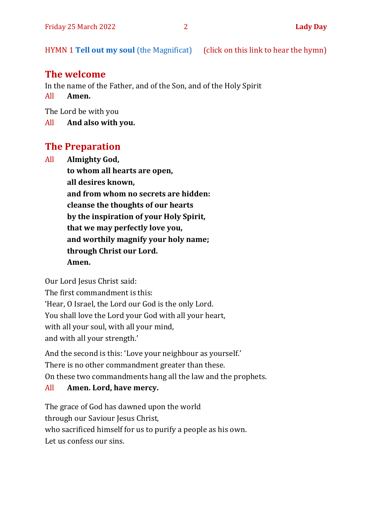HYMN 1 **[Tell out my soul](https://www.youtube.com/watch?v=-_JnUppvTAQ)** (the Magnificat) (click on this link to hear the hymn)

#### **The welcome**

In the name of the Father, and of the Son, and of the Holy Spirit

All **Amen.**

The Lord be with you

All **And also with you.**

## **The Preparation**

All **Almighty God, to whom all hearts are open, all desires known, and from whom no secrets are hidden: cleanse the thoughts of our hearts by the inspiration of your Holy Spirit, that we may perfectly love you, and worthily magnify your holy name; through Christ our Lord. Amen.**

Our Lord Jesus Christ said:

The first commandment is this: 'Hear, O Israel, the Lord our God is the only Lord. You shall love the Lord your God with all your heart, with all your soul, with all your mind, and with all your strength.'

And the second is this: 'Love your neighbour as yourself.' There is no other commandment greater than these. On these two commandments hang all the law and the prophets.

#### All **Amen. Lord, have mercy.**

The grace of God has dawned upon the world through our Saviour Jesus Christ, who sacrificed himself for us to purify a people as his own. Let us confess our sins.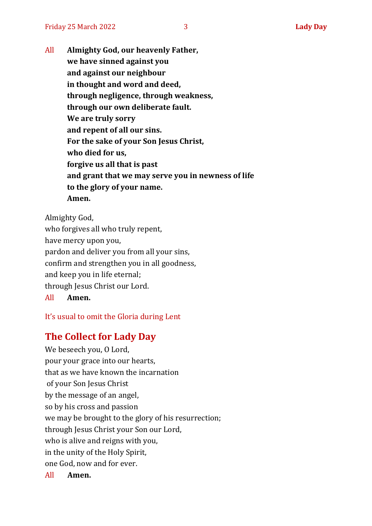All **Almighty God, our heavenly Father, we have sinned against you and against our neighbour in thought and word and deed, through negligence, through weakness, through our own deliberate fault. We are truly sorry and repent of all our sins. For the sake of your Son Jesus Christ, who died for us, forgive us all that is past and grant that we may serve you in newness of life to the glory of your name. Amen.**

Almighty God, who forgives all who truly repent, have mercy upon you, pardon and deliver you from all your sins, confirm and strengthen you in all goodness, and keep you in life eternal; through Jesus Christ our Lord.

All **Amen.**

It's usual to omit the Gloria during Lent

#### **The Collect for Lady Day**

We beseech you, O Lord, pour your grace into our hearts, that as we have known the incarnation of your Son Jesus Christ by the message of an angel, so by his cross and passion we may be brought to the glory of his resurrection; through Jesus Christ your Son our Lord, who is alive and reigns with you, in the unity of the Holy Spirit, one God, now and for ever. All **Amen.**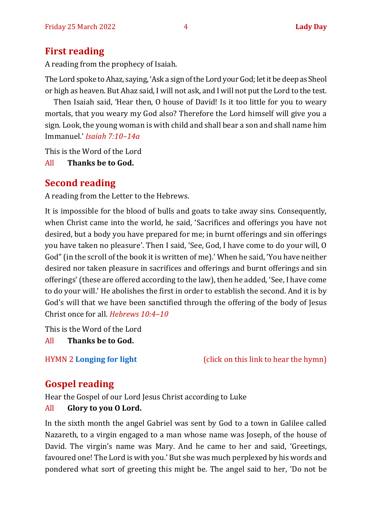# **First reading**

A reading from the prophecy of Isaiah.

The Lord spoke to Ahaz, saying, 'Ask a sign of the Lord your God; let it be deep as Sheol or high as heaven. But Ahaz said, I will not ask, and I will not put the Lord to the test.

Then Isaiah said, 'Hear then, O house of David! Is it too little for you to weary mortals, that you weary my God also? Therefore the Lord himself will give you a sign. Look, the young woman is with child and shall bear a son and shall name him Immanuel.' *Isaiah 7:10–14a*

This is the Word of the Lord

All **Thanks be to God.**

# **Second reading**

A reading from the Letter to the Hebrews.

It is impossible for the blood of bulls and goats to take away sins. Consequently, when Christ came into the world, he said, 'Sacrifices and offerings you have not desired, but a body you have prepared for me; in burnt offerings and sin offerings you have taken no pleasure'. Then I said, 'See, God, I have come to do your will, O God" (in the scroll of the book it is written of me).' When he said, 'You have neither desired nor taken pleasure in sacrifices and offerings and burnt offerings and sin offerings' (these are offered according to the law), then he added, 'See, I have come to do your will.' He abolishes the first in order to establish the second. And it is by God's will that we have been sanctified through the offering of the body of Jesus Christ once for all. *Hebrews 10:4–10*

This is the Word of the Lord

All **Thanks be to God.**

HYMN 2 **[Longing for light](https://youtu.be/ZJq3bhdgQoc)** (click on this link to hear the hymn)

# **Gospel reading**

Hear the Gospel of our Lord Jesus Christ according to Luke

#### All **Glory to you O Lord.**

In the sixth month the angel Gabriel was sent by God to a town in Galilee called Nazareth, to a virgin engaged to a man whose name was Joseph, of the house of David. The virgin's name was Mary. And he came to her and said, 'Greetings, favoured one! The Lord is with you.' But she was much perplexed by his words and pondered what sort of greeting this might be. The angel said to her, 'Do not be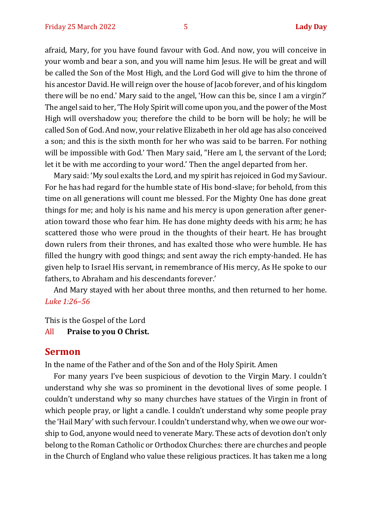afraid, Mary, for you have found favour with God. And now, you will conceive in your womb and bear a son, and you will name him Jesus. He will be great and will be called the Son of the Most High, and the Lord God will give to him the throne of his ancestor David. He will reign over the house of Jacob forever, and of his kingdom there will be no end.' Mary said to the angel, 'How can this be, since I am a virgin?' The angel said to her, 'The Holy Spirit will come upon you, and the power of the Most High will overshadow you; therefore the child to be born will be holy; he will be called Son of God. And now, your relative Elizabeth in her old age has also conceived a son; and this is the sixth month for her who was said to be barren. For nothing will be impossible with God.' Then Mary said, "Here am I, the servant of the Lord; let it be with me according to your word.' Then the angel departed from her.

Mary said: 'My soul exalts the Lord, and my spirit has rejoiced in God my Saviour. For he has had regard for the humble state of His bond-slave; for behold, from this time on all generations will count me blessed. For the Mighty One has done great things for me; and holy is his name and his mercy is upon generation after generation toward those who fear him. He has done mighty deeds with his arm; he has scattered those who were proud in the thoughts of their heart. He has brought down rulers from their thrones, and has exalted those who were humble. He has filled the hungry with good things; and sent away the rich empty-handed. He has given help to Israel His servant, in remembrance of His mercy, As He spoke to our fathers, to Abraham and his descendants forever.'

And Mary stayed with her about three months, and then returned to her home. *Luke 1:26–56*

This is the Gospel of the Lord

#### All **Praise to you O Christ.**

#### **Sermon**

In the name of the Father and of the Son and of the Holy Spirit. Amen

For many years I've been suspicious of devotion to the Virgin Mary. I couldn't understand why she was so prominent in the devotional lives of some people. I couldn't understand why so many churches have statues of the Virgin in front of which people pray, or light a candle. I couldn't understand why some people pray the 'Hail Mary' with such fervour. I couldn't understand why, when we owe our worship to God, anyone would need to venerate Mary. These acts of devotion don't only belong to the Roman Catholic or Orthodox Churches: there are churches and people in the Church of England who value these religious practices. It has taken me a long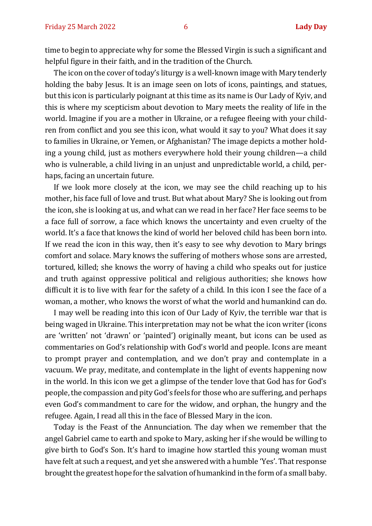time to begin to appreciate why for some the Blessed Virgin is such a significant and helpful figure in their faith, and in the tradition of the Church.

The icon on the cover of today's liturgy is a well-known image with Mary tenderly holding the baby Jesus. It is an image seen on lots of icons, paintings, and statues, but this icon is particularly poignant at this time as its name is Our Lady of Kyiv, and this is where my scepticism about devotion to Mary meets the reality of life in the world. Imagine if you are a mother in Ukraine, or a refugee fleeing with your children from conflict and you see this icon, what would it say to you? What does it say to families in Ukraine, or Yemen, or Afghanistan? The image depicts a mother holding a young child, just as mothers everywhere hold their young children—a child who is vulnerable, a child living in an unjust and unpredictable world, a child, perhaps, facing an uncertain future.

If we look more closely at the icon, we may see the child reaching up to his mother, his face full of love and trust. But what about Mary? She is looking out from the icon, she is looking at us, and what can we read in her face? Her face seems to be a face full of sorrow, a face which knows the uncertainty and even cruelty of the world. It's a face that knows the kind of world her beloved child has been born into. If we read the icon in this way, then it's easy to see why devotion to Mary brings comfort and solace. Mary knows the suffering of mothers whose sons are arrested, tortured, killed; she knows the worry of having a child who speaks out for justice and truth against oppressive political and religious authorities; she knows how difficult it is to live with fear for the safety of a child. In this icon I see the face of a woman, a mother, who knows the worst of what the world and humankind can do.

I may well be reading into this icon of Our Lady of Kyiv, the terrible war that is being waged in Ukraine. This interpretation may not be what the icon writer (icons are 'written' not 'drawn' or 'painted') originally meant, but icons can be used as commentaries on God's relationship with God's world and people. Icons are meant to prompt prayer and contemplation, and we don't pray and contemplate in a vacuum. We pray, meditate, and contemplate in the light of events happening now in the world. In this icon we get a glimpse of the tender love that God has for God's people, the compassion and pity God's feels for those who are suffering, and perhaps even God's commandment to care for the widow, and orphan, the hungry and the refugee. Again, I read all this in the face of Blessed Mary in the icon.

Today is the Feast of the Annunciation. The day when we remember that the angel Gabriel came to earth and spoke to Mary, asking her if she would be willing to give birth to God's Son. It's hard to imagine how startled this young woman must have felt at such a request, and yet she answered with a humble 'Yes'. That response brought the greatest hope for the salvation of humankind in the form of a small baby.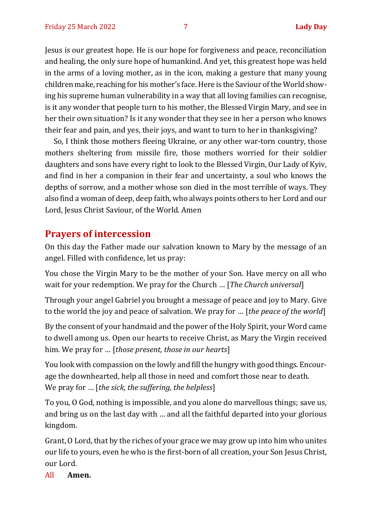Jesus is our greatest hope. He is our hope for forgiveness and peace, reconciliation and healing, the only sure hope of humankind. And yet, this greatest hope was held in the arms of a loving mother, as in the icon, making a gesture that many young children make, reaching for his mother's face. Here is the Saviour of the World showing his supreme human vulnerability in a way that all loving families can recognise, is it any wonder that people turn to his mother, the Blessed Virgin Mary, and see in her their own situation? Is it any wonder that they see in her a person who knows their fear and pain, and yes, their joys, and want to turn to her in thanksgiving?

So, I think those mothers fleeing Ukraine, or any other war-torn country, those mothers sheltering from missile fire, those mothers worried for their soldier daughters and sons have every right to look to the Blessed Virgin, Our Lady of Kyiv, and find in her a companion in their fear and uncertainty, a soul who knows the depths of sorrow, and a mother whose son died in the most terrible of ways. They also find a woman of deep, deep faith, who always points others to her Lord and our Lord, Jesus Christ Saviour, of the World. Amen

#### **Prayers of intercession**

On this day the Father made our salvation known to Mary by the message of an angel. Filled with confidence, let us pray:

You chose the Virgin Mary to be the mother of your Son. Have mercy on all who wait for your redemption. We pray for the Church … [*The Church universal*]

Through your angel Gabriel you brought a message of peace and joy to Mary. Give to the world the joy and peace of salvation. We pray for … [*the peace of the world*]

By the consent of your handmaid and the power of the Holy Spirit, your Word came to dwell among us. Open our hearts to receive Christ, as Mary the Virgin received him. We pray for … [*those present, those in our hearts*]

You look with compassion on the lowly and fill the hungry with good things. Encourage the downhearted, help all those in need and comfort those near to death. We pray for … [*the sick, the suffering, the helpless*]

To you, O God, nothing is impossible, and you alone do marvellous things; save us, and bring us on the last day with … and all the faithful departed into your glorious kingdom.

Grant, O Lord, that by the riches of your grace we may grow up into him who unites our life to yours, even he who is the first-born of all creation, your Son Jesus Christ, our Lord.

All **Amen.**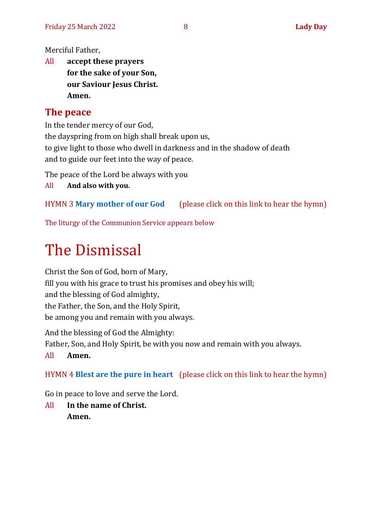Merciful Father,

All **accept these prayers for the sake of your Son, our Saviour Jesus Christ. Amen.**

# **The peace**

In the tender mercy of our God, the dayspring from on high shall break upon us, to give light to those who dwell in darkness and in the shadow of death and to guide our feet into the way of peace.

The peace of the Lord be always with you

All **And also with you.**

HYMN 3 **[Mary mother of our God](https://www.youtube.com/watch?v=8_RM6cbcxnA)** (please click on this link to hear the hymn)

The liturgy of the Communion Service appears below

# The Dismissal

Christ the Son of God, born of Mary, fill you with his grace to trust his promises and obey his will; and the blessing of God almighty, the Father, the Son, and the Holy Spirit, be among you and remain with you always.

And the blessing of God the Almighty: Father, Son, and Holy Spirit, be with you now and remain with you always.

All **Amen.**

HYMN 4 **[Blest are the pure in heart](https://www.youtube.com/watch?v=Z8h3fvk9wGY)** (please click on this link to hear the hymn)

Go in peace to love and serve the Lord.

All **In the name of Christ. Amen.**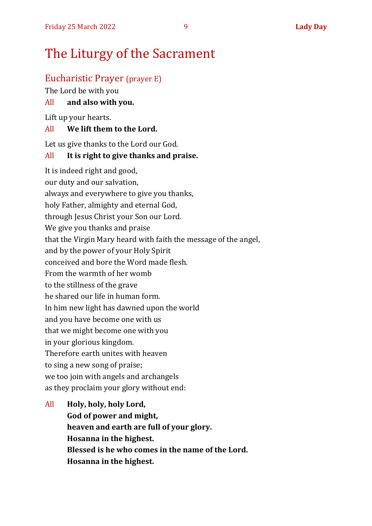# The Liturgy of the Sacrament

# Eucharistic Prayer (prayer E)

The Lord be with you

#### All **and also with you.**

Lift up your hearts.

#### All **We lift them to the Lord.**

Let us give thanks to the Lord our God.

#### All **It is right to give thanks and praise.**

It is indeed right and good, our duty and our salvation, always and everywhere to give you thanks, holy Father, almighty and eternal God, through Jesus Christ your Son our Lord. We give you thanks and praise that the Virgin Mary heard with faith the message of the angel, and by the power of your Holy Spirit conceived and bore the Word made flesh. From the warmth of her womb to the stillness of the grave he shared our life in human form. In him new light has dawned upon the world and you have become one with us that we might become one with you in your glorious kingdom. Therefore earth unites with heaven to sing a new song of praise; we too join with angels and archangels as they proclaim your glory without end:

# All **Holy, holy, holy Lord, God of power and might, heaven and earth are full of your glory. Hosanna in the highest. Blessed is he who comes in the name of the Lord. Hosanna in the highest.**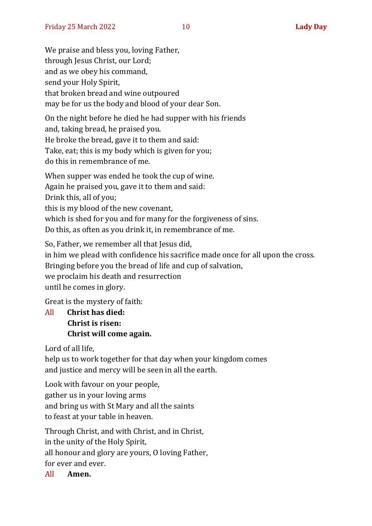We praise and bless you, loving Father, through Jesus Christ, our Lord; and as we obey his command, send your Holy Spirit, that broken bread and wine outpoured may be for us the body and blood of your dear Son.

On the night before he died he had supper with his friends and, taking bread, he praised you. He broke the bread, gave it to them and said: Take, eat; this is my body which is given for you; do this in remembrance of me.

When supper was ended he took the cup of wine. Again he praised you, gave it to them and said: Drink this, all of you; this is my blood of the new covenant, which is shed for you and for many for the forgiveness of sins. Do this, as often as you drink it, in remembrance of me.

So, Father, we remember all that Jesus did, in him we plead with confidence his sacrifice made once for all upon the cross. Bringing before you the bread of life and cup of salvation, we proclaim his death and resurrection until he comes in glory.

Great is the mystery of faith:

All **Christ has died: Christ is risen: Christ will come again.**

Lord of all life,

help us to work together for that day when your kingdom comes and justice and mercy will be seen in all the earth.

Look with favour on your people, gather us in your loving arms and bring us with St Mary and all the saints to feast at your table in heaven.

Through Christ, and with Christ, and in Christ, in the unity of the Holy Spirit, all honour and glory are yours, O loving Father, for ever and ever.

All **Amen.**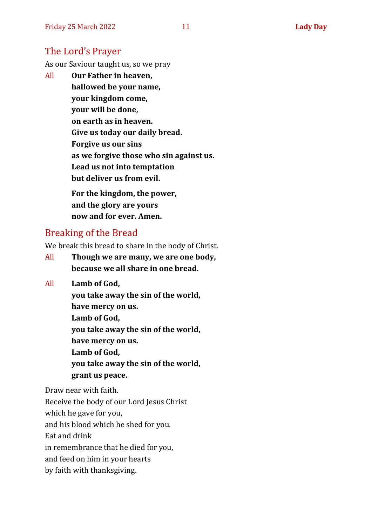#### The Lord's Prayer

As our Saviour taught us, so we pray

All **Our Father in heaven, hallowed be your name, your kingdom come, your will be done, on earth as in heaven. Give us today our daily bread. Forgive us our sins as we forgive those who sin against us. Lead us not into temptation but deliver us from evil. For the kingdom, the power, and the glory are yours**

**now and for ever. Amen.**

## Breaking of the Bread

We break this bread to share in the body of Christ.

- All **Though we are many, we are one body, because we all share in one bread.**
- All **Lamb of God,**

**you take away the sin of the world, have mercy on us. Lamb of God, you take away the sin of the world, have mercy on us. Lamb of God, you take away the sin of the world, grant us peace.**

Draw near with faith.

Receive the body of our Lord Jesus Christ which he gave for you, and his blood which he shed for you. Eat and drink in remembrance that he died for you, and feed on him in your hearts by faith with thanksgiving.